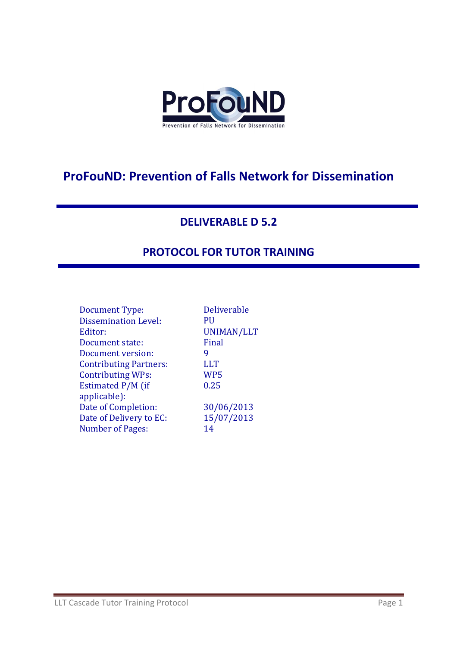

## **ProFouND: Prevention of Falls Network for Dissemination**

#### **DELIVERABLE D 5.2**

### **PROTOCOL FOR TUTOR TRAINING**

| Document Type:                | <b>Deliverable</b> |
|-------------------------------|--------------------|
| <b>Dissemination Level:</b>   | PH                 |
| Editor:                       | UNIMAN/LLT         |
| Document state:               | Final              |
| Document version:             | 9                  |
| <b>Contributing Partners:</b> | <b>LLT</b>         |
| <b>Contributing WPs:</b>      | WP5                |
| Estimated P/M (if             | 0.25               |
| applicable):                  |                    |
| Date of Completion:           | 30/06/2013         |
| Date of Delivery to EC:       | 15/07/2013         |
| <b>Number of Pages:</b>       | 14                 |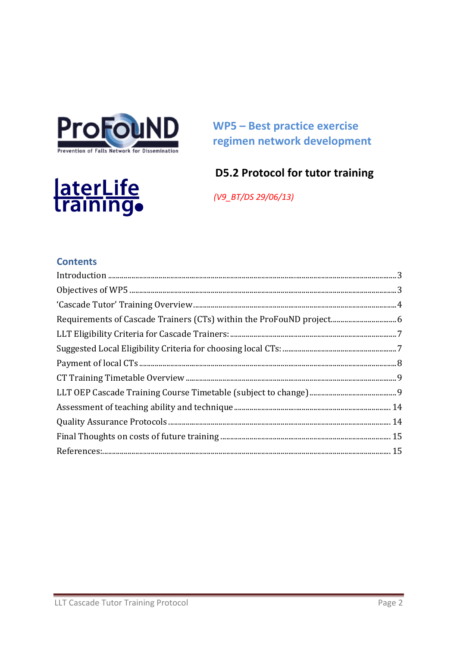

laterLife<br>Training.

**WP5-Best practice exercise** regimen network development

## **D5.2 Protocol for tutor training**

(V9\_BT/DS 29/06/13)

#### **Contents**

<span id="page-1-0"></span>

| Requirements of Cascade Trainers (CTs) within the ProFouND project 6 |  |
|----------------------------------------------------------------------|--|
|                                                                      |  |
|                                                                      |  |
|                                                                      |  |
|                                                                      |  |
|                                                                      |  |
|                                                                      |  |
|                                                                      |  |
|                                                                      |  |
|                                                                      |  |
|                                                                      |  |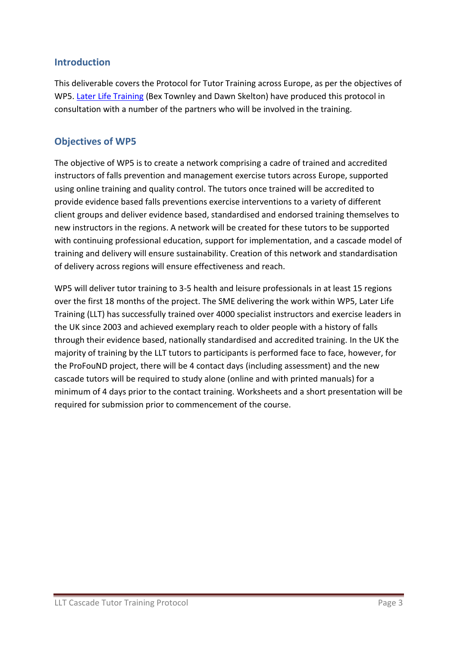#### **Introduction**

This deliverable covers the Protocol for Tutor Training across Europe, as per the objectives of WP5. [Later Life Training](http://www.laterlifetraining.co.uk/) (Bex Townley and Dawn Skelton) have produced this protocol in consultation with a number of the partners who will be involved in the training.

#### <span id="page-2-0"></span>**Objectives of WP5**

The objective of WP5 is to create a network comprising a cadre of trained and accredited instructors of falls prevention and management exercise tutors across Europe, supported using online training and quality control. The tutors once trained will be accredited to provide evidence based falls preventions exercise interventions to a variety of different client groups and deliver evidence based, standardised and endorsed training themselves to new instructors in the regions. A network will be created for these tutors to be supported with continuing professional education, support for implementation, and a cascade model of training and delivery will ensure sustainability. Creation of this network and standardisation of delivery across regions will ensure effectiveness and reach.

WP5 will deliver tutor training to 3-5 health and leisure professionals in at least 15 regions over the first 18 months of the project. The SME delivering the work within WP5, Later Life Training (LLT) has successfully trained over 4000 specialist instructors and exercise leaders in the UK since 2003 and achieved exemplary reach to older people with a history of falls through their evidence based, nationally standardised and accredited training. In the UK the majority of training by the LLT tutors to participants is performed face to face, however, for the ProFouND project, there will be 4 contact days (including assessment) and the new cascade tutors will be required to study alone (online and with printed manuals) for a minimum of 4 days prior to the contact training. Worksheets and a short presentation will be required for submission prior to commencement of the course.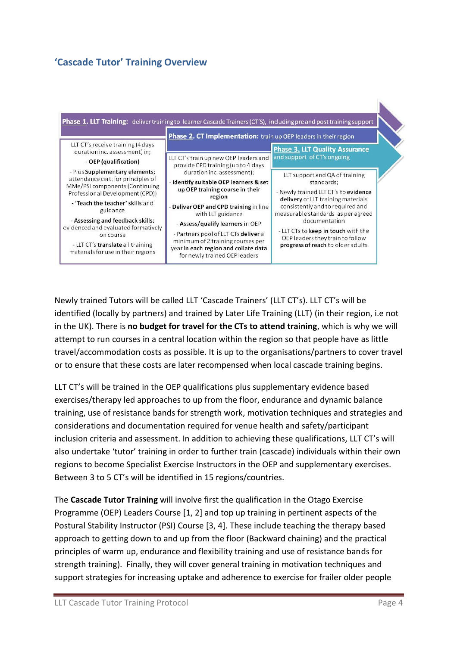#### <span id="page-3-0"></span>**'Cascade Tutor' Training Overview**



Newly trained Tutors will be called LLT 'Cascade Trainers' (LLT CT's). LLT CT's will be identified (locally by partners) and trained by Later Life Training (LLT) (in their region, i.e not in the UK). There is **no budget for travel for the CTs to attend training**, which is why we will attempt to run courses in a central location within the region so that people have as little travel/accommodation costs as possible. It is up to the organisations/partners to cover travel or to ensure that these costs are later recompensed when local cascade training begins.

LLT CT's will be trained in the OEP qualifications plus supplementary evidence based exercises/therapy led approaches to up from the floor, endurance and dynamic balance training, use of resistance bands for strength work, motivation techniques and strategies and considerations and documentation required for venue health and safety/participant inclusion criteria and assessment. In addition to achieving these qualifications, LLT CT's will also undertake 'tutor' training in order to further train (cascade) individuals within their own regions to become Specialist Exercise Instructors in the OEP and supplementary exercises. Between 3 to 5 CT's will be identified in 15 regions/countries.

The **Cascade Tutor Training** will involve first the qualification in the Otago Exercise Programme (OEP) Leaders Course [1, 2] and top up training in pertinent aspects of the Postural Stability Instructor (PSI) Course [3, 4]. These include teaching the therapy based approach to getting down to and up from the floor (Backward chaining) and the practical principles of warm up, endurance and flexibility training and use of resistance bands for strength training). Finally, they will cover general training in motivation techniques and support strategies for increasing uptake and adherence to exercise for frailer older people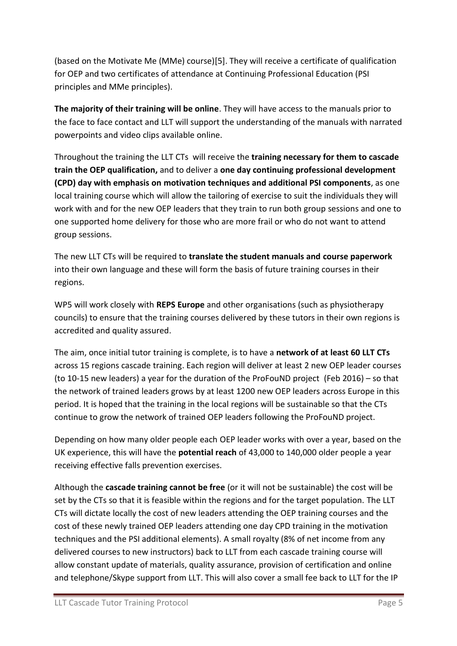(based on the Motivate Me (MMe) course)[5]. They will receive a certificate of qualification for OEP and two certificates of attendance at Continuing Professional Education (PSI principles and MMe principles).

**The majority of their training will be online**. They will have access to the manuals prior to the face to face contact and LLT will support the understanding of the manuals with narrated powerpoints and video clips available online.

Throughout the training the LLT CTs will receive the **training necessary for them to cascade train the OEP qualification,** and to deliver a **one day continuing professional development (CPD) day with emphasis on motivation techniques and additional PSI components**, as one local training course which will allow the tailoring of exercise to suit the individuals they will work with and for the new OEP leaders that they train to run both group sessions and one to one supported home delivery for those who are more frail or who do not want to attend group sessions.

The new LLT CTs will be required to **translate the student manuals and course paperwork** into their own language and these will form the basis of future training courses in their regions.

WP5 will work closely with **REPS Europe** and other organisations (such as physiotherapy councils) to ensure that the training courses delivered by these tutors in their own regions is accredited and quality assured.

The aim, once initial tutor training is complete, is to have a **network of at least 60 LLT CTs**  across 15 regions cascade training. Each region will deliver at least 2 new OEP leader courses (to 10-15 new leaders) a year for the duration of the ProFouND project (Feb 2016) – so that the network of trained leaders grows by at least 1200 new OEP leaders across Europe in this period. It is hoped that the training in the local regions will be sustainable so that the CTs continue to grow the network of trained OEP leaders following the ProFouND project.

Depending on how many older people each OEP leader works with over a year, based on the UK experience, this will have the **potential reach** of 43,000 to 140,000 older people a year receiving effective falls prevention exercises.

Although the **cascade training cannot be free** (or it will not be sustainable) the cost will be set by the CTs so that it is feasible within the regions and for the target population. The LLT CTs will dictate locally the cost of new leaders attending the OEP training courses and the cost of these newly trained OEP leaders attending one day CPD training in the motivation techniques and the PSI additional elements). A small royalty (8% of net income from any delivered courses to new instructors) back to LLT from each cascade training course will allow constant update of materials, quality assurance, provision of certification and online and telephone/Skype support from LLT. This will also cover a small fee back to LLT for the IP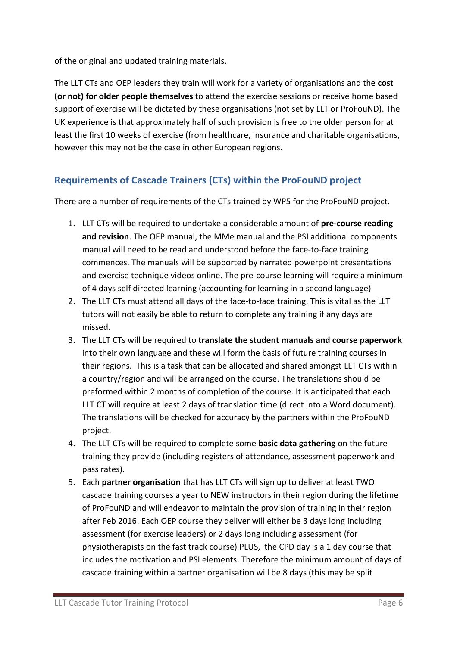of the original and updated training materials.

The LLT CTs and OEP leaders they train will work for a variety of organisations and the **cost (or not) for older people themselves** to attend the exercise sessions or receive home based support of exercise will be dictated by these organisations (not set by LLT or ProFouND). The UK experience is that approximately half of such provision is free to the older person for at least the first 10 weeks of exercise (from healthcare, insurance and charitable organisations, however this may not be the case in other European regions.

### <span id="page-5-0"></span>**Requirements of Cascade Trainers (CTs) within the ProFouND project**

There are a number of requirements of the CTs trained by WP5 for the ProFouND project.

- 1. LLT CTs will be required to undertake a considerable amount of **pre-course reading and revision**. The OEP manual, the MMe manual and the PSI additional components manual will need to be read and understood before the face-to-face training commences. The manuals will be supported by narrated powerpoint presentations and exercise technique videos online. The pre-course learning will require a minimum of 4 days self directed learning (accounting for learning in a second language)
- 2. The LLT CTs must attend all days of the face-to-face training. This is vital as the LLT tutors will not easily be able to return to complete any training if any days are missed.
- 3. The LLT CTs will be required to **translate the student manuals and course paperwork** into their own language and these will form the basis of future training courses in their regions. This is a task that can be allocated and shared amongst LLT CTs within a country/region and will be arranged on the course. The translations should be preformed within 2 months of completion of the course. It is anticipated that each LLT CT will require at least 2 days of translation time (direct into a Word document). The translations will be checked for accuracy by the partners within the ProFouND project.
- 4. The LLT CTs will be required to complete some **basic data gathering** on the future training they provide (including registers of attendance, assessment paperwork and pass rates).
- 5. Each **partner organisation** that has LLT CTs will sign up to deliver at least TWO cascade training courses a year to NEW instructors in their region during the lifetime of ProFouND and will endeavor to maintain the provision of training in their region after Feb 2016. Each OEP course they deliver will either be 3 days long including assessment (for exercise leaders) or 2 days long including assessment (for physiotherapists on the fast track course) PLUS, the CPD day is a 1 day course that includes the motivation and PSI elements. Therefore the minimum amount of days of cascade training within a partner organisation will be 8 days (this may be split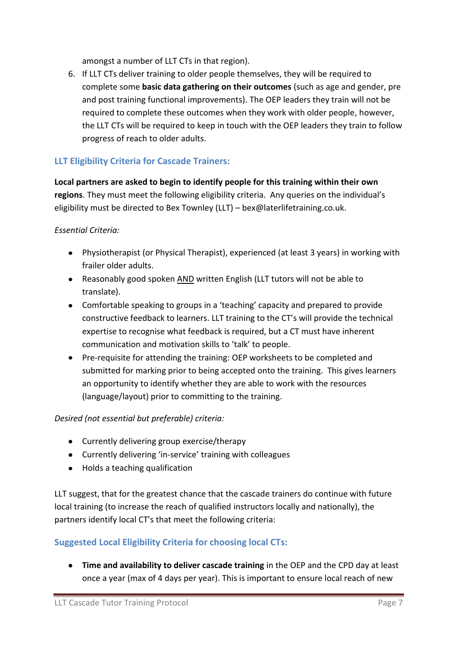amongst a number of LLT CTs in that region).

6. If LLT CTs deliver training to older people themselves, they will be required to complete some **basic data gathering on their outcomes** (such as age and gender, pre and post training functional improvements). The OEP leaders they train will not be required to complete these outcomes when they work with older people, however, the LLT CTs will be required to keep in touch with the OEP leaders they train to follow progress of reach to older adults.

#### <span id="page-6-0"></span>**LLT Eligibility Criteria for Cascade Trainers:**

**Local partners are asked to begin to identify people for this training within their own regions**. They must meet the following eligibility criteria. Any queries on the individual's eligibility must be directed to Bex Townley (LLT) – bex@laterlifetraining.co.uk.

#### *Essential Criteria:*

- Physiotherapist (or Physical Therapist), experienced (at least 3 years) in working with frailer older adults.
- Reasonably good spoken AND written English (LLT tutors will not be able to translate).
- Comfortable speaking to groups in a 'teaching' capacity and prepared to provide constructive feedback to learners. LLT training to the CT's will provide the technical expertise to recognise what feedback is required, but a CT must have inherent communication and motivation skills to 'talk' to people.
- Pre-requisite for attending the training: OEP worksheets to be completed and submitted for marking prior to being accepted onto the training. This gives learners an opportunity to identify whether they are able to work with the resources (language/layout) prior to committing to the training.

#### *Desired (not essential but preferable) criteria:*

- Currently delivering group exercise/therapy
- Currently delivering 'in-service' training with colleagues
- Holds a teaching qualification

LLT suggest, that for the greatest chance that the cascade trainers do continue with future local training (to increase the reach of qualified instructors locally and nationally), the partners identify local CT's that meet the following criteria:

#### <span id="page-6-1"></span>**Suggested Local Eligibility Criteria for choosing local CTs:**

**Time and availability to deliver cascade training** in the OEP and the CPD day at least once a year (max of 4 days per year). This is important to ensure local reach of new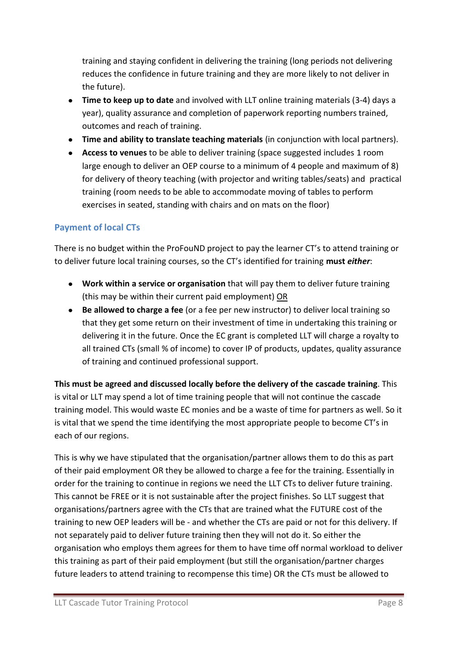training and staying confident in delivering the training (long periods not delivering reduces the confidence in future training and they are more likely to not deliver in the future).

- **Time to keep up to date** and involved with LLT online training materials (3-4) days a year), quality assurance and completion of paperwork reporting numbers trained, outcomes and reach of training.
- **Time and ability to translate teaching materials** (in conjunction with local partners).
- **Access to venues** to be able to deliver training (space suggested includes 1 room large enough to deliver an OEP course to a minimum of 4 people and maximum of 8) for delivery of theory teaching (with projector and writing tables/seats) and practical training (room needs to be able to accommodate moving of tables to perform exercises in seated, standing with chairs and on mats on the floor)

#### <span id="page-7-0"></span>**Payment of local CTs**

There is no budget within the ProFouND project to pay the learner CT's to attend training or to deliver future local training courses, so the CT's identified for training **must** *either*:

- **Work within a service or organisation** that will pay them to deliver future training (this may be within their current paid employment) OR
- **Be allowed to charge a fee** (or a fee per new instructor) to deliver local training so that they get some return on their investment of time in undertaking this training or delivering it in the future. Once the EC grant is completed LLT will charge a royalty to all trained CTs (small % of income) to cover IP of products, updates, quality assurance of training and continued professional support.

**This must be agreed and discussed locally before the delivery of the cascade training**. This is vital or LLT may spend a lot of time training people that will not continue the cascade training model. This would waste EC monies and be a waste of time for partners as well. So it is vital that we spend the time identifying the most appropriate people to become CT's in each of our regions.

This is why we have stipulated that the organisation/partner allows them to do this as part of their paid employment OR they be allowed to charge a fee for the training. Essentially in order for the training to continue in regions we need the LLT CTs to deliver future training. This cannot be FREE or it is not sustainable after the project finishes. So LLT suggest that organisations/partners agree with the CTs that are trained what the FUTURE cost of the training to new OEP leaders will be - and whether the CTs are paid or not for this delivery. If not separately paid to deliver future training then they will not do it. So either the organisation who employs them agrees for them to have time off normal workload to deliver this training as part of their paid employment (but still the organisation/partner charges future leaders to attend training to recompense this time) OR the CTs must be allowed to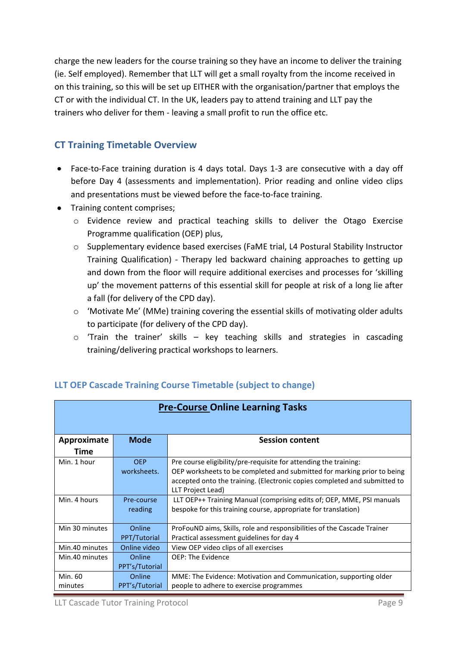charge the new leaders for the course training so they have an income to deliver the training (ie. Self employed). Remember that LLT will get a small royalty from the income received in on this training, so this will be set up EITHER with the organisation/partner that employs the CT or with the individual CT. In the UK, leaders pay to attend training and LLT pay the trainers who deliver for them - leaving a small profit to run the office etc.

#### <span id="page-8-0"></span>**CT Training Timetable Overview**

- Face-to-Face training duration is 4 days total. Days 1-3 are consecutive with a day off  $\bullet$ before Day 4 (assessments and implementation). Prior reading and online video clips and presentations must be viewed before the face-to-face training.
- Training content comprises;
	- o Evidence review and practical teaching skills to deliver the Otago Exercise Programme qualification (OEP) plus,
	- o Supplementary evidence based exercises (FaME trial, L4 Postural Stability Instructor Training Qualification) - Therapy led backward chaining approaches to getting up and down from the floor will require additional exercises and processes for 'skilling up' the movement patterns of this essential skill for people at risk of a long lie after a fall (for delivery of the CPD day).
	- o 'Motivate Me' (MMe) training covering the essential skills of motivating older adults to participate (for delivery of the CPD day).
	- o 'Train the trainer' skills key teaching skills and strategies in cascading training/delivering practical workshops to learners.

| <b>Pre-Course Online Learning Tasks</b> |                |                                                                           |
|-----------------------------------------|----------------|---------------------------------------------------------------------------|
| Approximate                             | <b>Mode</b>    | <b>Session content</b>                                                    |
| Time                                    |                |                                                                           |
| Min. 1 hour                             | <b>OEP</b>     | Pre course eligibility/pre-requisite for attending the training:          |
|                                         | worksheets.    | OEP worksheets to be completed and submitted for marking prior to being   |
|                                         |                | accepted onto the training. (Electronic copies completed and submitted to |
|                                         |                | LLT Project Lead)                                                         |
| Min. 4 hours                            | Pre-course     | LLT OEP++ Training Manual (comprising edits of; OEP, MME, PSI manuals     |
|                                         | reading        | bespoke for this training course, appropriate for translation)            |
| Min 30 minutes                          | Online         | ProFouND aims, Skills, role and responsibilities of the Cascade Trainer   |
|                                         | PPT/Tutorial   | Practical assessment guidelines for day 4                                 |
| Min.40 minutes                          | Online video   | View OEP video clips of all exercises                                     |
| Min.40 minutes                          | Online         | <b>OEP: The Evidence</b>                                                  |
|                                         | PPT's/Tutorial |                                                                           |
| Min. 60                                 | Online         | MME: The Evidence: Motivation and Communication, supporting older         |
| minutes                                 | PPT's/Tutorial | people to adhere to exercise programmes                                   |

#### <span id="page-8-1"></span>**LLT OEP Cascade Training Course Timetable (subject to change)**

LLT Cascade Tutor Training Protocol and The Page 9 and Training Protocol Page 9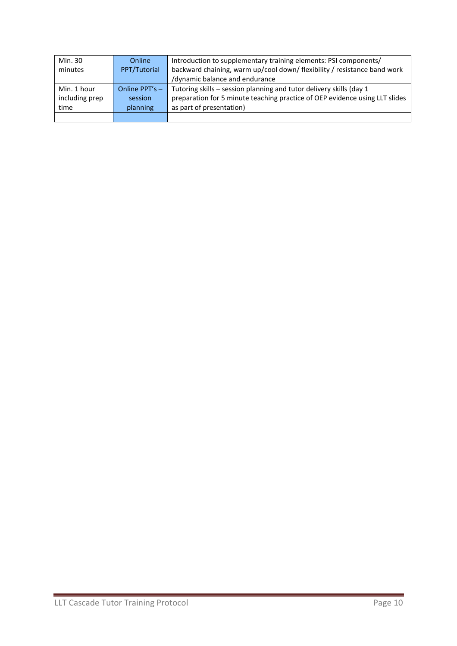| Min. 30        | Online           | Introduction to supplementary training elements: PSI components/            |
|----------------|------------------|-----------------------------------------------------------------------------|
| minutes        | PPT/Tutorial     | backward chaining, warm up/cool down/ flexibility / resistance band work    |
|                |                  | /dynamic balance and endurance                                              |
| Min. 1 hour    | Online $PPT's -$ | Tutoring skills - session planning and tutor delivery skills (day 1         |
| including prep | session          | preparation for 5 minute teaching practice of OEP evidence using LLT slides |
| time           | planning         | as part of presentation)                                                    |
|                |                  |                                                                             |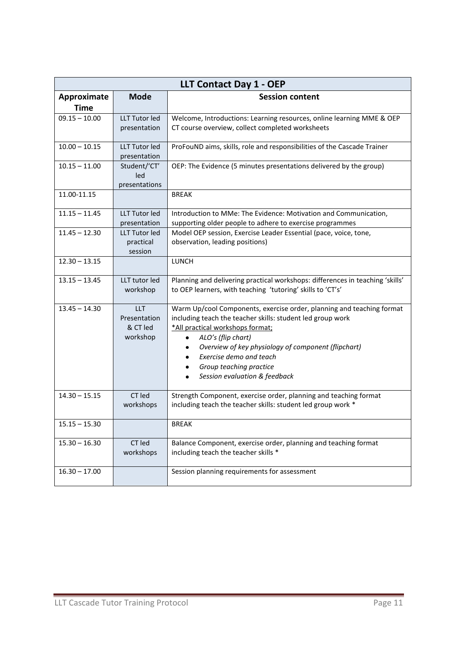| <b>LLT Contact Day 1 - OEP</b> |                                                    |                                                                                                                                                                                                                                                                                                                                             |
|--------------------------------|----------------------------------------------------|---------------------------------------------------------------------------------------------------------------------------------------------------------------------------------------------------------------------------------------------------------------------------------------------------------------------------------------------|
| Approximate<br><b>Time</b>     | <b>Mode</b>                                        | <b>Session content</b>                                                                                                                                                                                                                                                                                                                      |
| $09.15 - 10.00$                | LLT Tutor led<br>presentation                      | Welcome, Introductions: Learning resources, online learning MME & OEP<br>CT course overview, collect completed worksheets                                                                                                                                                                                                                   |
| $10.00 - 10.15$                | <b>LLT Tutor led</b><br>presentation               | ProFouND aims, skills, role and responsibilities of the Cascade Trainer                                                                                                                                                                                                                                                                     |
| $10.15 - 11.00$                | Student/'CT'<br>led<br>presentations               | OEP: The Evidence (5 minutes presentations delivered by the group)                                                                                                                                                                                                                                                                          |
| 11.00-11.15                    |                                                    | <b>BREAK</b>                                                                                                                                                                                                                                                                                                                                |
| $11.15 - 11.45$                | <b>LLT Tutor led</b><br>presentation               | Introduction to MMe: The Evidence: Motivation and Communication,<br>supporting older people to adhere to exercise programmes                                                                                                                                                                                                                |
| $11.45 - 12.30$                | <b>LLT Tutor led</b><br>practical<br>session       | Model OEP session, Exercise Leader Essential (pace, voice, tone,<br>observation, leading positions)                                                                                                                                                                                                                                         |
| $12.30 - 13.15$                |                                                    | <b>LUNCH</b>                                                                                                                                                                                                                                                                                                                                |
| $13.15 - 13.45$                | LLT tutor led<br>workshop                          | Planning and delivering practical workshops: differences in teaching 'skills'<br>to OEP learners, with teaching 'tutoring' skills to 'CT's'                                                                                                                                                                                                 |
| $13.45 - 14.30$                | <b>LLT</b><br>Presentation<br>& CT led<br>workshop | Warm Up/cool Components, exercise order, planning and teaching format<br>including teach the teacher skills: student led group work<br>*All practical workshops format;<br>ALO's (flip chart)<br>Overview of key physiology of component (flipchart)<br>Exercise demo and teach<br>Group teaching practice<br>Session evaluation & feedback |
| $14.30 - 15.15$                | CT led<br>workshops                                | Strength Component, exercise order, planning and teaching format<br>including teach the teacher skills: student led group work *                                                                                                                                                                                                            |
| $15.15 - 15.30$                |                                                    | <b>BREAK</b>                                                                                                                                                                                                                                                                                                                                |
| $15.30 - 16.30$                | CT led<br>workshops                                | Balance Component, exercise order, planning and teaching format<br>including teach the teacher skills *                                                                                                                                                                                                                                     |
| $16.30 - 17.00$                |                                                    | Session planning requirements for assessment                                                                                                                                                                                                                                                                                                |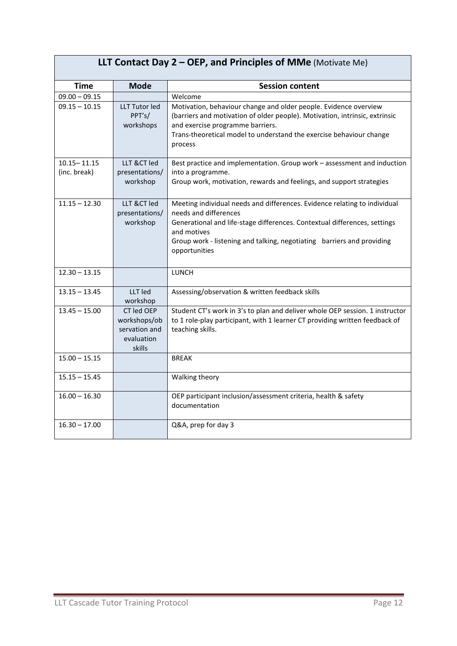# **LLT Contact Day 2 – OEP, and Principles of MMe** (Motivate Me)

| <b>Time</b>                     | <b>Mode</b>                                                         | <b>Session content</b>                                                                                                                                                                                                                                                                    |
|---------------------------------|---------------------------------------------------------------------|-------------------------------------------------------------------------------------------------------------------------------------------------------------------------------------------------------------------------------------------------------------------------------------------|
| $09.00 - 09.15$                 |                                                                     | Welcome                                                                                                                                                                                                                                                                                   |
| $09.15 - 10.15$                 | <b>LLT Tutor led</b><br>PPT's/<br>workshops                         | Motivation, behaviour change and older people. Evidence overview<br>(barriers and motivation of older people). Motivation, intrinsic, extrinsic<br>and exercise programme barriers.<br>Trans-theoretical model to understand the exercise behaviour change<br>process                     |
| $10.15 - 11.15$<br>(inc. break) | LLT & CT led<br>presentations/<br>workshop                          | Best practice and implementation. Group work - assessment and induction<br>into a programme.<br>Group work, motivation, rewards and feelings, and support strategies                                                                                                                      |
| $11.15 - 12.30$                 | LLT &CT led<br>presentations/<br>workshop                           | Meeting individual needs and differences. Evidence relating to individual<br>needs and differences<br>Generational and life-stage differences. Contextual differences, settings<br>and motives<br>Group work - listening and talking, negotiating barriers and providing<br>opportunities |
| $12.30 - 13.15$                 |                                                                     | <b>LUNCH</b>                                                                                                                                                                                                                                                                              |
| $13.15 - 13.45$                 | LLT led<br>workshop                                                 | Assessing/observation & written feedback skills                                                                                                                                                                                                                                           |
| $13.45 - 15.00$                 | CT led OEP<br>workshops/ob<br>servation and<br>evaluation<br>skills | Student CT's work in 3's to plan and deliver whole OEP session. 1 instructor<br>to 1 role-play participant, with 1 learner CT providing written feedback of<br>teaching skills.                                                                                                           |
| $15.00 - 15.15$                 |                                                                     | <b>BREAK</b>                                                                                                                                                                                                                                                                              |
| $15.15 - 15.45$                 |                                                                     | Walking theory                                                                                                                                                                                                                                                                            |
| $16.00 - 16.30$                 |                                                                     | OEP participant inclusion/assessment criteria, health & safety<br>documentation                                                                                                                                                                                                           |
| $16.30 - 17.00$                 |                                                                     | Q&A, prep for day 3                                                                                                                                                                                                                                                                       |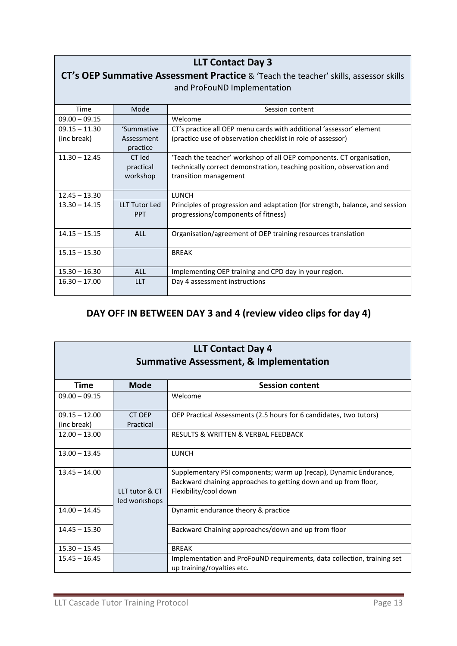| <b>LLT Contact Day 3</b>                                                             |                                    |                                                                                                                     |
|--------------------------------------------------------------------------------------|------------------------------------|---------------------------------------------------------------------------------------------------------------------|
| CT's OEP Summative Assessment Practice & 'Teach the teacher' skills, assessor skills |                                    |                                                                                                                     |
|                                                                                      |                                    | and ProFouND Implementation                                                                                         |
|                                                                                      |                                    |                                                                                                                     |
| Time                                                                                 | Mode                               | Session content                                                                                                     |
| $09.00 - 09.15$                                                                      |                                    | Welcome                                                                                                             |
| $09.15 - 11.30$                                                                      | 'Summative                         | CT's practice all OEP menu cards with additional 'assessor' element                                                 |
| (inc break)                                                                          | Assessment                         | (practice use of observation checklist in role of assessor)                                                         |
|                                                                                      | practice                           |                                                                                                                     |
| $11.30 - 12.45$                                                                      | CT led                             | 'Teach the teacher' workshop of all OEP components. CT organisation,                                                |
|                                                                                      | practical                          | technically correct demonstration, teaching position, observation and                                               |
|                                                                                      | workshop                           | transition management                                                                                               |
|                                                                                      |                                    |                                                                                                                     |
| $12.45 - 13.30$                                                                      |                                    | <b>LUNCH</b>                                                                                                        |
| $13.30 - 14.15$                                                                      | <b>LLT Tutor Led</b><br><b>PPT</b> | Principles of progression and adaptation (for strength, balance, and session<br>progressions/components of fitness) |
|                                                                                      |                                    |                                                                                                                     |
| $14.15 - 15.15$                                                                      | <b>ALL</b>                         | Organisation/agreement of OEP training resources translation                                                        |
|                                                                                      |                                    |                                                                                                                     |
| $15.15 - 15.30$                                                                      |                                    | <b>BREAK</b>                                                                                                        |
|                                                                                      |                                    |                                                                                                                     |
| $15.30 - 16.30$                                                                      | ALL                                | Implementing OEP training and CPD day in your region.                                                               |
| $16.30 - 17.00$                                                                      | <b>LLT</b>                         | Day 4 assessment instructions                                                                                       |
|                                                                                      |                                    |                                                                                                                     |

# **DAY OFF IN BETWEEN DAY 3 and 4 (review video clips for day 4)**

| <b>LLT Contact Day 4</b><br><b>Summative Assessment, &amp; Implementation</b> |                                 |                                                                                                                                                               |
|-------------------------------------------------------------------------------|---------------------------------|---------------------------------------------------------------------------------------------------------------------------------------------------------------|
| Time                                                                          | <b>Mode</b>                     | <b>Session content</b>                                                                                                                                        |
| $09.00 - 09.15$                                                               |                                 | Welcome                                                                                                                                                       |
| $09.15 - 12.00$<br>(inc break)                                                | CT OEP<br>Practical             | OEP Practical Assessments (2.5 hours for 6 candidates, two tutors)                                                                                            |
| $12.00 - 13.00$                                                               |                                 | RESULTS & WRITTEN & VERBAL FEEDBACK                                                                                                                           |
| $13.00 - 13.45$                                                               |                                 | <b>LUNCH</b>                                                                                                                                                  |
| $13.45 - 14.00$                                                               | LLT tutor & CT<br>led workshops | Supplementary PSI components; warm up (recap), Dynamic Endurance,<br>Backward chaining approaches to getting down and up from floor,<br>Flexibility/cool down |
| $14.00 - 14.45$                                                               |                                 | Dynamic endurance theory & practice                                                                                                                           |
| $14.45 - 15.30$                                                               |                                 | Backward Chaining approaches/down and up from floor                                                                                                           |
| $15.30 - 15.45$                                                               |                                 | <b>BREAK</b>                                                                                                                                                  |
| $15.45 - 16.45$                                                               |                                 | Implementation and ProFouND requirements, data collection, training set<br>up training/royalties etc.                                                         |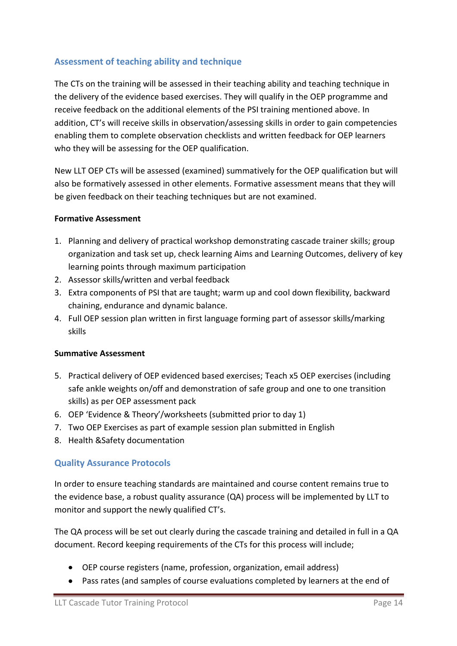#### <span id="page-13-0"></span>**Assessment of teaching ability and technique**

The CTs on the training will be assessed in their teaching ability and teaching technique in the delivery of the evidence based exercises. They will qualify in the OEP programme and receive feedback on the additional elements of the PSI training mentioned above. In addition, CT's will receive skills in observation/assessing skills in order to gain competencies enabling them to complete observation checklists and written feedback for OEP learners who they will be assessing for the OEP qualification.

New LLT OEP CTs will be assessed (examined) summatively for the OEP qualification but will also be formatively assessed in other elements. Formative assessment means that they will be given feedback on their teaching techniques but are not examined.

#### **Formative Assessment**

- 1. Planning and delivery of practical workshop demonstrating cascade trainer skills; group organization and task set up, check learning Aims and Learning Outcomes, delivery of key learning points through maximum participation
- 2. Assessor skills/written and verbal feedback
- 3. Extra components of PSI that are taught; warm up and cool down flexibility, backward chaining, endurance and dynamic balance.
- 4. Full OEP session plan written in first language forming part of assessor skills/marking skills

#### **Summative Assessment**

- 5. Practical delivery of OEP evidenced based exercises; Teach x5 OEP exercises (including safe ankle weights on/off and demonstration of safe group and one to one transition skills) as per OEP assessment pack
- 6. OEP 'Evidence & Theory'/worksheets (submitted prior to day 1)
- 7. Two OEP Exercises as part of example session plan submitted in English
- 8. Health &Safety documentation

#### <span id="page-13-1"></span>**Quality Assurance Protocols**

In order to ensure teaching standards are maintained and course content remains true to the evidence base, a robust quality assurance (QA) process will be implemented by LLT to monitor and support the newly qualified CT's.

The QA process will be set out clearly during the cascade training and detailed in full in a QA document. Record keeping requirements of the CTs for this process will include;

- OEP course registers (name, profession, organization, email address)
- Pass rates (and samples of course evaluations completed by learners at the end of